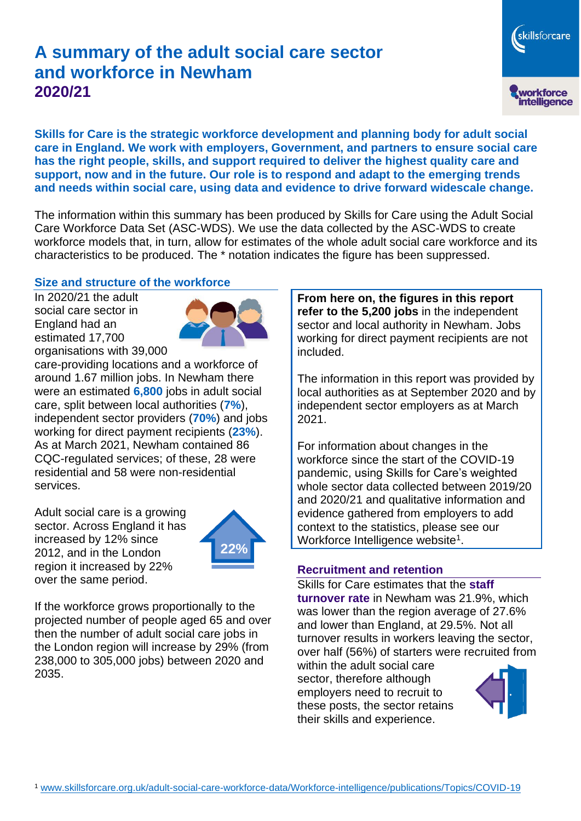# **A summary of the adult social care sector and workforce in Newham 2020/21**

skillsforcare workforce<br>intelligence

**Skills for Care is the strategic workforce development and planning body for adult social care in England. We work with employers, Government, and partners to ensure social care has the right people, skills, and support required to deliver the highest quality care and support, now and in the future. Our role is to respond and adapt to the emerging trends and needs within social care, using data and evidence to drive forward widescale change.**

The information within this summary has been produced by Skills for Care using the Adult Social Care Workforce Data Set (ASC-WDS). We use the data collected by the ASC-WDS to create workforce models that, in turn, allow for estimates of the whole adult social care workforce and its characteristics to be produced. The \* notation indicates the figure has been suppressed.

#### **Size and structure of the workforce**

In 2020/21 the adult social care sector in England had an estimated 17,700 organisations with 39,000



care-providing locations and a workforce of around 1.67 million jobs. In Newham there were an estimated **6,800** jobs in adult social care, split between local authorities (**7%**), independent sector providers (**70%**) and jobs working for direct payment recipients (**23%**). As at March 2021, Newham contained 86 CQC-regulated services; of these, 28 were residential and 58 were non-residential services.

Adult social care is a growing sector. Across England it has increased by 12% since 2012, and in the London region it increased by 22% over the same period.



If the workforce grows proportionally to the projected number of people aged 65 and over then the number of adult social care jobs in the London region will increase by 29% (from 238,000 to 305,000 jobs) between 2020 and 2035.

**From here on, the figures in this report refer to the 5,200 jobs** in the independent sector and local authority in Newham. Jobs working for direct payment recipients are not included.

The information in this report was provided by local authorities as at September 2020 and by independent sector employers as at March 2021.

For information about changes in the workforce since the start of the COVID-19 pandemic, using Skills for Care's weighted whole sector data collected between 2019/20 and 2020/21 and qualitative information and evidence gathered from employers to add context to the statistics, please see our Workforce Intelligence website<sup>1</sup>.

#### **Recruitment and retention**

Skills for Care estimates that the **staff turnover rate** in Newham was 21.9%, which was lower than the region average of 27.6% and lower than England, at 29.5%. Not all turnover results in workers leaving the sector, over half (56%) of starters were recruited from

within the adult social care sector, therefore although employers need to recruit to these posts, the sector retains their skills and experience.

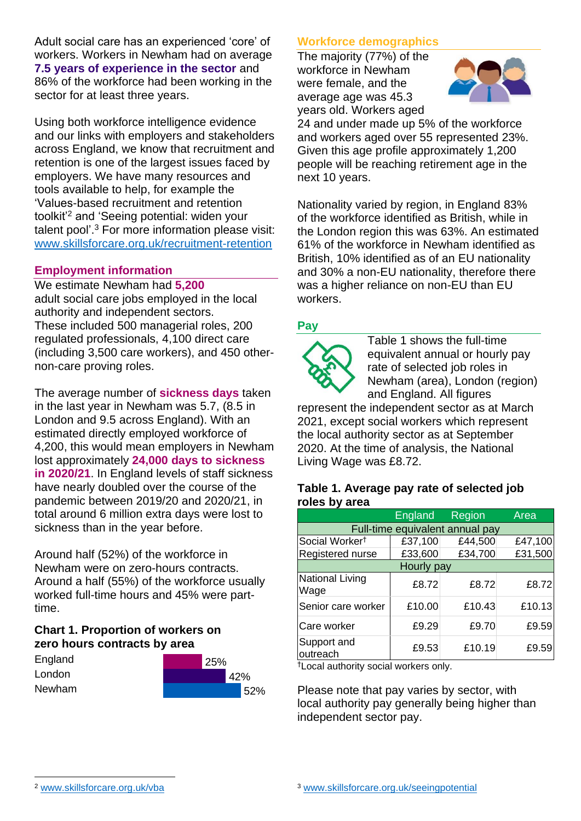Adult social care has an experienced 'core' of workers. Workers in Newham had on average **7.5 years of experience in the sector** and 86% of the workforce had been working in the sector for at least three years.

Using both workforce intelligence evidence and our links with employers and stakeholders across England, we know that recruitment and retention is one of the largest issues faced by employers. We have many resources and tools available to help, for example the 'Values-based recruitment and retention toolkit'<sup>2</sup> and 'Seeing potential: widen your talent pool'. <sup>3</sup> For more information please visit: [www.skillsforcare.org.uk/recruitment-retention](http://www.skillsforcare.org.uk/recruitment-retention)

### **Employment information**

We estimate Newham had **5,200** adult social care jobs employed in the local authority and independent sectors. These included 500 managerial roles, 200 regulated professionals, 4,100 direct care (including 3,500 care workers), and 450 othernon-care proving roles.

The average number of **sickness days** taken in the last year in Newham was 5.7, (8.5 in London and 9.5 across England). With an estimated directly employed workforce of 4,200, this would mean employers in Newham lost approximately **24,000 days to sickness in 2020/21**. In England levels of staff sickness have nearly doubled over the course of the pandemic between 2019/20 and 2020/21, in total around 6 million extra days were lost to sickness than in the year before.

Around half (52%) of the workforce in Newham were on zero-hours contracts. Around a half (55%) of the workforce usually worked full-time hours and 45% were parttime.

# **Chart 1. Proportion of workers on zero hours contracts by area**

| England | $^{\prime}$ 25% |     |     |
|---------|-----------------|-----|-----|
| London  |                 | 42% |     |
| Newham  |                 |     | 52% |

# **Workforce demographics**

The majority (77%) of the workforce in Newham were female, and the average age was 45.3 years old. Workers aged



24 and under made up 5% of the workforce and workers aged over 55 represented 23%. Given this age profile approximately 1,200 people will be reaching retirement age in the next 10 years.

Nationality varied by region, in England 83% of the workforce identified as British, while in the London region this was 63%. An estimated 61% of the workforce in Newham identified as British, 10% identified as of an EU nationality and 30% a non-EU nationality, therefore there was a higher reliance on non-EU than EU workers.

# **Pay**



Table 1 shows the full-time equivalent annual or hourly pay rate of selected job roles in Newham (area), London (region) and England. All figures

represent the independent sector as at March 2021, except social workers which represent the local authority sector as at September 2020. At the time of analysis, the National Living Wage was £8.72.

#### **Table 1. Average pay rate of selected job roles by area**

|                                 | <b>England</b> | <b>Region</b> | Area    |  |  |  |
|---------------------------------|----------------|---------------|---------|--|--|--|
| Full-time equivalent annual pay |                |               |         |  |  |  |
| Social Worker <sup>t</sup>      | £37,100        | £44,500       | £47,100 |  |  |  |
| Registered nurse                | £33,600        | £34,700       | £31,500 |  |  |  |
| Hourly pay                      |                |               |         |  |  |  |
| National Living<br>Wage         | £8.72          | £8.72         | £8.72   |  |  |  |
| Senior care worker              | £10.00         | £10.43        | £10.13  |  |  |  |
| Care worker                     | £9.29          | £9.70         | £9.59   |  |  |  |
| Support and<br>outreach         | £9.53          | £10.19        | £9.59   |  |  |  |

†Local authority social workers only.

Please note that pay varies by sector, with local authority pay generally being higher than independent sector pay.